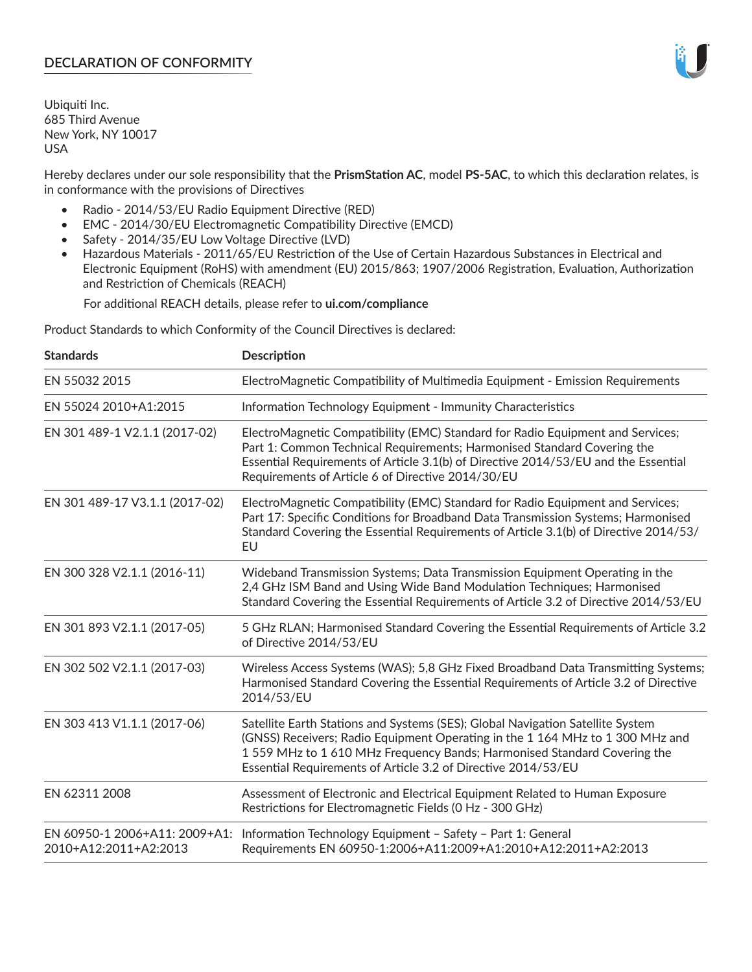Ubiquiti Inc. 685 Third Avenue New York, NY 10017 USA

Hereby declares under our sole responsibility that the **PrismStation AC**, model **PS-5AC**, to which this declaration relates, is in conformance with the provisions of Directives

- Radio 2014/53/EU Radio Equipment Directive (RED)
- EMC 2014/30/EU Electromagnetic Compatibility Directive (EMCD)
- Safety 2014/35/EU Low Voltage Directive (LVD)
- Hazardous Materials 2011/65/EU Restriction of the Use of Certain Hazardous Substances in Electrical and Electronic Equipment (RoHS) with amendment (EU) 2015/863; 1907/2006 Registration, Evaluation, Authorization and Restriction of Chemicals (REACH)

For additional REACH details, please refer to **ui.com/compliance**

Product Standards to which Conformity of the Council Directives is declared:

| <b>Standards</b>                                       | <b>Description</b>                                                                                                                                                                                                                                                                                         |
|--------------------------------------------------------|------------------------------------------------------------------------------------------------------------------------------------------------------------------------------------------------------------------------------------------------------------------------------------------------------------|
| EN 55032 2015                                          | ElectroMagnetic Compatibility of Multimedia Equipment - Emission Requirements                                                                                                                                                                                                                              |
| EN 55024 2010+A1:2015                                  | Information Technology Equipment - Immunity Characteristics                                                                                                                                                                                                                                                |
| EN 301 489-1 V2.1.1 (2017-02)                          | ElectroMagnetic Compatibility (EMC) Standard for Radio Equipment and Services;<br>Part 1: Common Technical Requirements; Harmonised Standard Covering the<br>Essential Requirements of Article 3.1(b) of Directive 2014/53/EU and the Essential<br>Requirements of Article 6 of Directive 2014/30/EU       |
| EN 301 489-17 V3.1.1 (2017-02)                         | ElectroMagnetic Compatibility (EMC) Standard for Radio Equipment and Services;<br>Part 17: Specific Conditions for Broadband Data Transmission Systems; Harmonised<br>Standard Covering the Essential Requirements of Article 3.1(b) of Directive 2014/53/<br>EU                                           |
| EN 300 328 V2.1.1 (2016-11)                            | Wideband Transmission Systems; Data Transmission Equipment Operating in the<br>2,4 GHz ISM Band and Using Wide Band Modulation Techniques; Harmonised<br>Standard Covering the Essential Requirements of Article 3.2 of Directive 2014/53/EU                                                               |
| EN 301 893 V2.1.1 (2017-05)                            | 5 GHz RLAN; Harmonised Standard Covering the Essential Requirements of Article 3.2<br>of Directive 2014/53/EU                                                                                                                                                                                              |
| EN 302 502 V2.1.1 (2017-03)                            | Wireless Access Systems (WAS); 5,8 GHz Fixed Broadband Data Transmitting Systems;<br>Harmonised Standard Covering the Essential Requirements of Article 3.2 of Directive<br>2014/53/EU                                                                                                                     |
| EN 303 413 V1.1.1 (2017-06)                            | Satellite Earth Stations and Systems (SES); Global Navigation Satellite System<br>(GNSS) Receivers; Radio Equipment Operating in the 1 164 MHz to 1 300 MHz and<br>1559 MHz to 1610 MHz Frequency Bands; Harmonised Standard Covering the<br>Essential Requirements of Article 3.2 of Directive 2014/53/EU |
| EN 62311 2008                                          | Assessment of Electronic and Electrical Equipment Related to Human Exposure<br>Restrictions for Electromagnetic Fields (0 Hz - 300 GHz)                                                                                                                                                                    |
| EN 60950-1 2006+A11: 2009+A1:<br>2010+A12:2011+A2:2013 | Information Technology Equipment - Safety - Part 1: General<br>Requirements EN 60950-1:2006+A11:2009+A1:2010+A12:2011+A2:2013                                                                                                                                                                              |

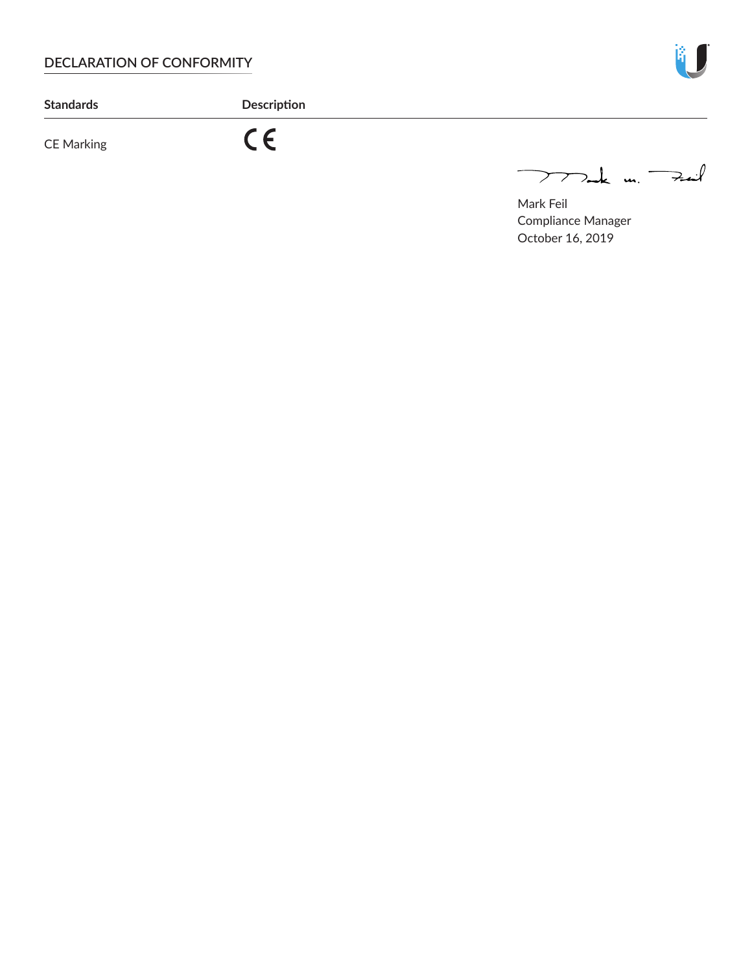

**Standards Description**

# CE Marking

 $C \in$ 

 $772$ ak m. Fail

Mark Feil Compliance Manager October 16, 2019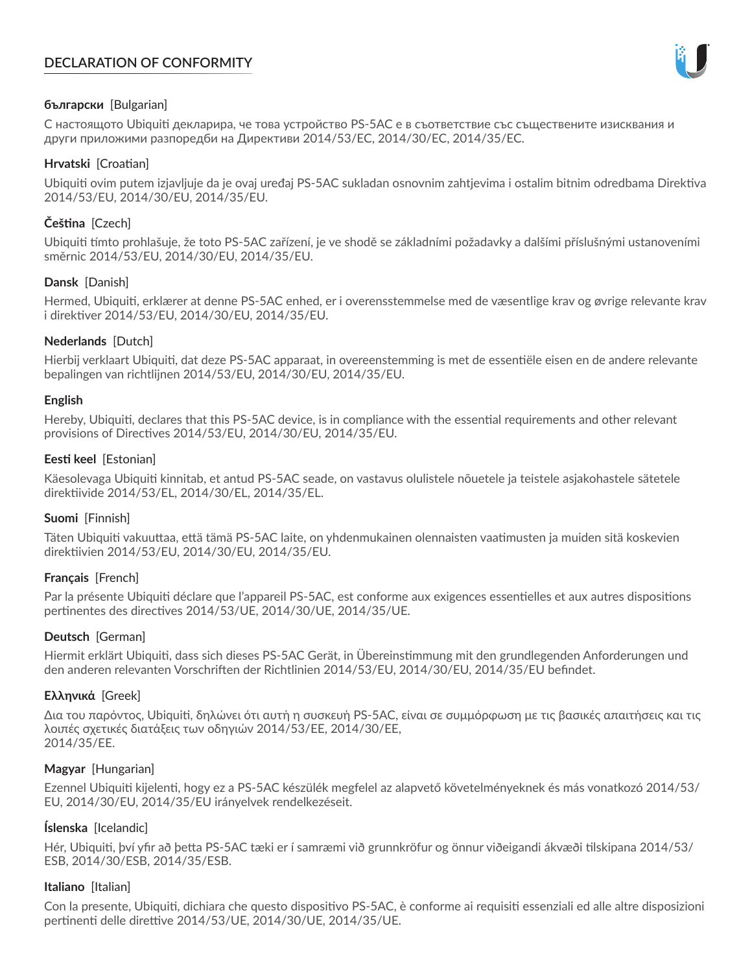

# **български** [Bulgarian]

С настоящото Ubiquiti декларира, че това устройство PS-5AC е в съответствие със съществените изисквания и други приложими разпоредби на Директиви 2014/53/EC, 2014/30/ЕС, 2014/35/ЕС.

# **Hrvatski** [Croatian]

Ubiquiti ovim putem izjavljuje da je ovaj uređaj PS-5AC sukladan osnovnim zahtjevima i ostalim bitnim odredbama Direktiva 2014/53/EU, 2014/30/EU, 2014/35/EU.

# **Čeština** [Czech]

Ubiquiti tímto prohlašuje, že toto PS-5AC zařízení, je ve shodě se základními požadavky a dalšími příslušnými ustanoveními směrnic 2014/53/EU, 2014/30/EU, 2014/35/EU.

# **Dansk** [Danish]

Hermed, Ubiquiti, erklærer at denne PS-5AC enhed, er i overensstemmelse med de væsentlige krav og øvrige relevante krav i direktiver 2014/53/EU, 2014/30/EU, 2014/35/EU.

# **Nederlands** [Dutch]

Hierbij verklaart Ubiquiti, dat deze PS-5AC apparaat, in overeenstemming is met de essentiële eisen en de andere relevante bepalingen van richtlijnen 2014/53/EU, 2014/30/EU, 2014/35/EU.

# **English**

Hereby, Ubiquiti, declares that this PS-5AC device, is in compliance with the essential requirements and other relevant provisions of Directives 2014/53/EU, 2014/30/EU, 2014/35/EU.

# **Eesti keel** [Estonian]

Käesolevaga Ubiquiti kinnitab, et antud PS-5AC seade, on vastavus olulistele nõuetele ja teistele asjakohastele sätetele direktiivide 2014/53/EL, 2014/30/EL, 2014/35/EL.

# **Suomi** [Finnish]

Täten Ubiquiti vakuuttaa, että tämä PS-5AC laite, on yhdenmukainen olennaisten vaatimusten ja muiden sitä koskevien direktiivien 2014/53/EU, 2014/30/EU, 2014/35/EU.

# **Français** [French]

Par la présente Ubiquiti déclare que l'appareil PS-5AC, est conforme aux exigences essentielles et aux autres dispositions pertinentes des directives 2014/53/UE, 2014/30/UE, 2014/35/UE.

# **Deutsch** [German]

Hiermit erklärt Ubiquiti, dass sich dieses PS-5AC Gerät, in Übereinstimmung mit den grundlegenden Anforderungen und den anderen relevanten Vorschriften der Richtlinien 2014/53/EU, 2014/30/EU, 2014/35/EU befindet.

# **Ελληνικά** [Greek]

Δια του παρόντος, Ubiquiti, δηλώνει ότι αυτή η συσκευή PS-5AC, είναι σε συμμόρφωση με τις βασικές απαιτήσεις και τις λοιπές σχετικές διατάξεις των οδηγιών 2014/53/EE, 2014/30/EE, 2014/35/EE.

# **Magyar** [Hungarian]

Ezennel Ubiquiti kijelenti, hogy ez a PS-5AC készülék megfelel az alapvető követelményeknek és más vonatkozó 2014/53/ EU, 2014/30/EU, 2014/35/EU irányelvek rendelkezéseit.

# **Íslenska** [Icelandic]

Hér, Ubiquiti, því yfir að þetta PS-5AC tæki er í samræmi við grunnkröfur og önnur viðeigandi ákvæði tilskipana 2014/53/ ESB, 2014/30/ESB, 2014/35/ESB.

# **Italiano** [Italian]

Con la presente, Ubiquiti, dichiara che questo dispositivo PS-5AC, è conforme ai requisiti essenziali ed alle altre disposizioni pertinenti delle direttive 2014/53/UE, 2014/30/UE, 2014/35/UE.